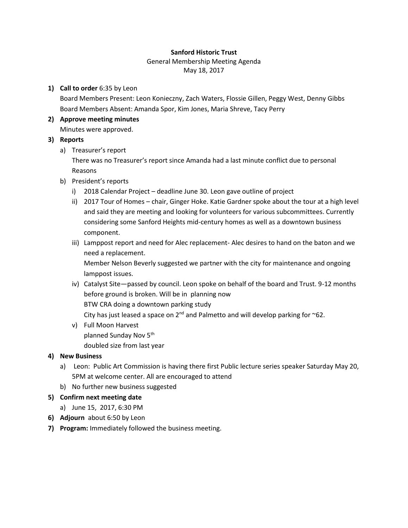## **Sanford Historic Trust**

### General Membership Meeting Agenda May 18, 2017

## **1) Call to order** 6:35 by Leon

Board Members Present: Leon Konieczny, Zach Waters, Flossie Gillen, Peggy West, Denny Gibbs Board Members Absent: Amanda Spor, Kim Jones, Maria Shreve, Tacy Perry

# **2) Approve meeting minutes**

Minutes were approved.

## **3) Reports**

a) Treasurer's report

There was no Treasurer's report since Amanda had a last minute conflict due to personal Reasons

- b) President's reports
	- i) 2018 Calendar Project deadline June 30. Leon gave outline of project
	- ii) 2017 Tour of Homes chair, Ginger Hoke. Katie Gardner spoke about the tour at a high level and said they are meeting and looking for volunteers for various subcommittees. Currently considering some Sanford Heights mid-century homes as well as a downtown business component.
	- iii) Lamppost report and need for Alec replacement- Alec desires to hand on the baton and we need a replacement.

Member Nelson Beverly suggested we partner with the city for maintenance and ongoing lamppost issues.

- iv) Catalyst Site—passed by council. Leon spoke on behalf of the board and Trust. 9-12 months before ground is broken. Will be in planning now BTW CRA doing a downtown parking study City has just leased a space on  $2^{nd}$  and Palmetto and will develop parking for  $\infty$ 62.
- v) Full Moon Harvest planned Sunday Nov 5th doubled size from last year

## **4) New Business**

- a) Leon: Public Art Commission is having there first Public lecture series speaker Saturday May 20, 5PM at welcome center. All are encouraged to attend
- b) No further new business suggested
- **5) Confirm next meeting date**
	- a) June 15, 2017, 6:30 PM
- **6) Adjourn** about 6:50 by Leon
- **7) Program:** Immediately followed the business meeting.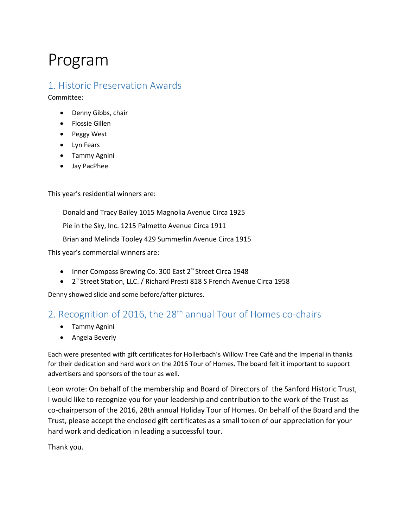# Program

## 1. Historic Preservation Awards

Committee:

- Denny Gibbs, chair
- Flossie Gillen
- Peggy West
- Lyn Fears
- Tammy Agnini
- Jay PacPhee

This year's residential winners are:

Donald and Tracy Bailey 1015 Magnolia Avenue Circa 1925

Pie in the Sky, Inc. 1215 Palmetto Avenue Circa 1911

Brian and Melinda Tooley 429 Summerlin Avenue Circa 1915

This year's commercial winners are:

- Inner Compass Brewing Co. 300 East  $2^{nd}$  Street Circa 1948
- 2<sup>nd</sup> Street Station, LLC. / Richard Presti 818 S French Avenue Circa 1958

Denny showed slide and some before/after pictures.

## 2. Recognition of 2016, the 28<sup>th</sup> annual Tour of Homes co-chairs

- **•** Tammy Agnini
- Angela Beverly

Each were presented with gift certificates for Hollerbach's Willow Tree Café and the Imperial in thanks for their dedication and hard work on the 2016 Tour of Homes. The board felt it important to support advertisers and sponsors of the tour as well.

Leon wrote: On behalf of the membership and Board of Directors of the Sanford Historic Trust, I would like to recognize you for your leadership and contribution to the work of the Trust as co-chairperson of the 2016, 28th annual Holiday Tour of Homes. On behalf of the Board and the Trust, please accept the enclosed gift certificates as a small token of our appreciation for your hard work and dedication in leading a successful tour.

Thank you.